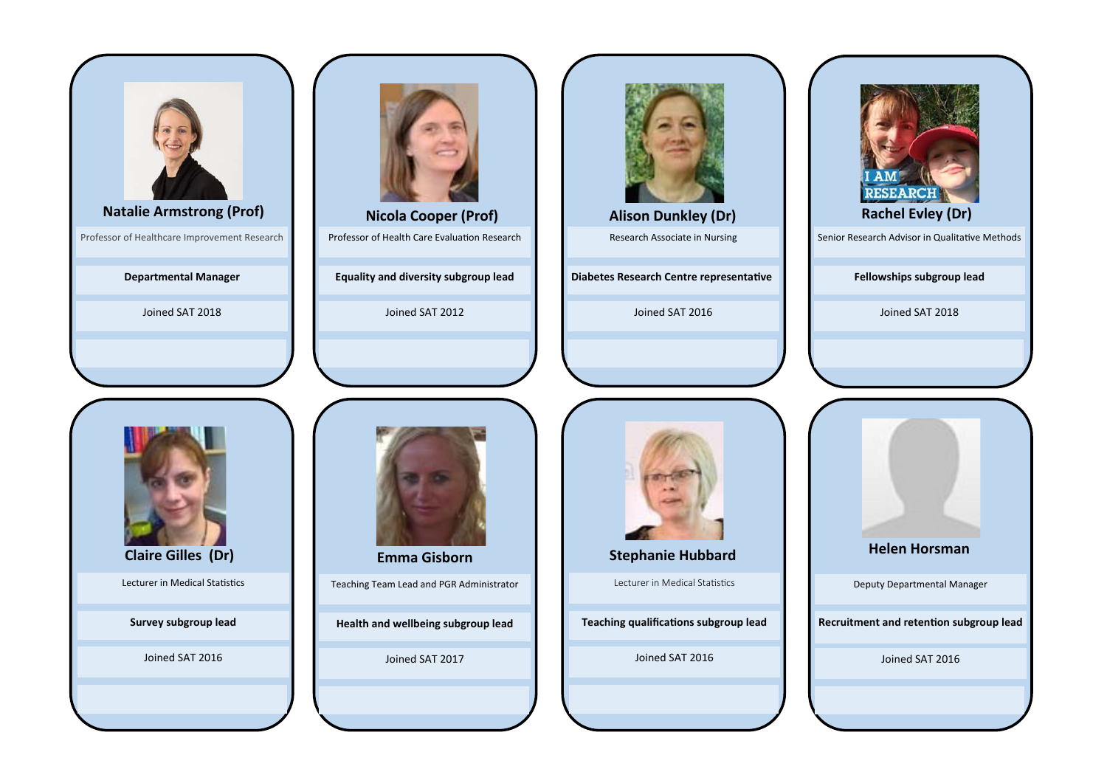